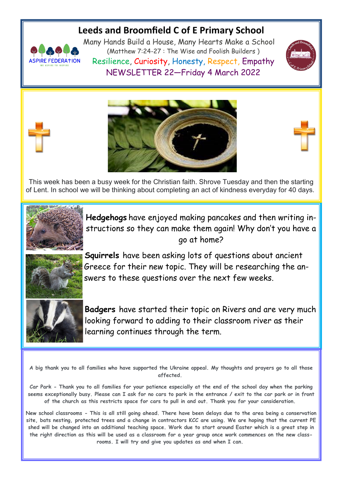# **Leeds and Broomfield C of E Primary School**



Many Hands Build a House, Many Hearts Make a School (Matthew 7:24-27 : The Wise and Foolish Builders ) Resilience, Curiosity, Honesty, Respect, Empathy NEWSLETTER 22—Friday 4 March 2022





This week has been a busy week for the Christian faith. Shrove Tuesday and then the starting of Lent. In school we will be thinking about completing an act of kindness everyday for 40 days.



**Hedgehogs** have enjoyed making pancakes and then writing instructions so they can make them again! Why don't you have a go at home?



**Squirrels** have been asking lots of questions about ancient Greece for their new topic. They will be researching the answers to these questions over the next few weeks.



**Badgers** have started their topic on Rivers and are very much looking forward to adding to their classroom river as their learning continues through the term.

**A big thank you to all families who have supported the Ukraine appeal. My thoughts and prayers go to all those affected.**

**Car Park - Thank you to all families for your patience especially at the end of the school day when the parking seems exceptionally busy. Please can I ask for no cars to park in the entrance / exit to the car park or in front of the church as this restricts space for cars to pull in and out. Thank you for your consideration.**

**New school classrooms - This is all still going ahead. There have been delays due to the area being a conservation site, bats nesting, protected trees and a change in contractors KCC are using. We are hoping that the current PE shed will be changed into an additional teaching space. Work due to start around Easter which is a great step in the right direction as this will be used as a classroom for a year group once work commences on the new classrooms. I will try and give you updates as and when I can.**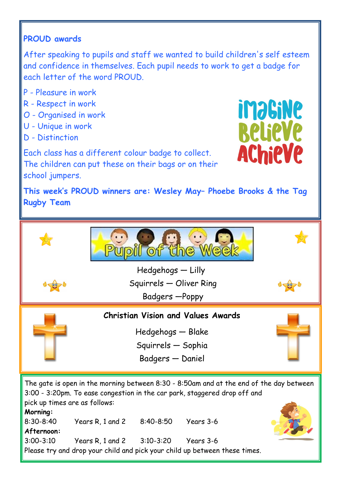## **PROUD awards**

After speaking to pupils and staff we wanted to build children's self esteem and confidence in themselves. Each pupil needs to work to get a badge for each letter of the word PROUD.

- P Pleasure in work
- R Respect in work
- O Organised in work
- U Unique in work
- D Distinction

**imaGiNe RelieVe AChieVe** 

Each class has a different colour badge to collect. The children can put these on their bags or on their school jumpers.

**This week's PROUD winners are: Wesley May– Phoebe Brooks & the Tag Rugby Team**



pick up times are as follows: **Morning:** 8:30-8:40 Years R, 1 and 2 8:40-8:50 Years 3-6 **Afternoon:** 3:00-3:10 Years R, 1 and 2 3:10-3:20 Years 3-6 Please try and drop your child and pick your child up between these times.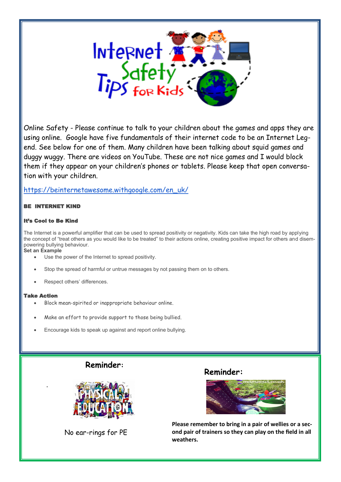

Online Safety - Please continue to talk to your children about the games and apps they are using online. Google have five fundamentals of their internet code to be an Internet Legend. See below for one of them. Many children have been talking about squid games and duggy wuggy. There are videos on YouTube. These are not nice games and I would block them if they appear on your children's phones or tablets. Please keep that open conversation with your children.

### [https://beinternetawesome.withgoogle.com/en\\_uk/](https://beinternetawesome.withgoogle.com/en_uk/)

#### BE INTERNET KIND

#### It's Cool to Be Kind

The Internet is a powerful amplifier that can be used to spread positivity or negativity. Kids can take the high road by applying the concept of "treat others as you would like to be treated" to their actions online, creating positive impact for others and disempowering bullying behaviour.

**Set an Example**

- Use the power of the Internet to spread positivity.
- Stop the spread of harmful or untrue messages by not passing them on to others.
- Respect others' differences.

#### Take Action

.

- Block mean-spirited or inappropriate behaviour online.
- Make an effort to provide support to those being bullied.
- Encourage kids to speak up against and report online bullying.

## **Reminder:**



No ear-rings for PE

## **Reminder:**



**Please remember to bring in a pair of wellies or a second pair of trainers so they can play on the field in all weathers.**